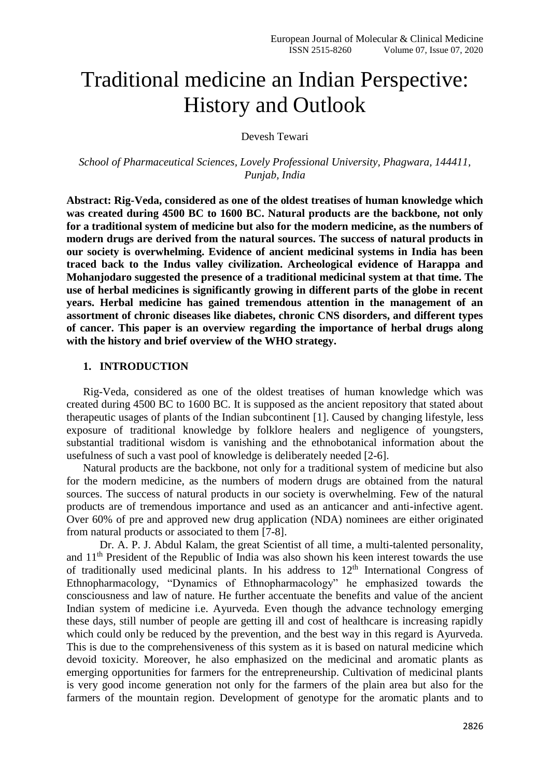# Traditional medicine an Indian Perspective: History and Outlook

Devesh Tewari

*School of Pharmaceutical Sciences, Lovely Professional University, Phagwara, 144411, Punjab, India*

**Abstract: Rig-Veda, considered as one of the oldest treatises of human knowledge which was created during 4500 BC to 1600 BC. Natural products are the backbone, not only for a traditional system of medicine but also for the modern medicine, as the numbers of modern drugs are derived from the natural sources. The success of natural products in our society is overwhelming. Evidence of ancient medicinal systems in India has been traced back to the Indus valley civilization. Archeological evidence of Harappa and Mohanjodaro suggested the presence of a traditional medicinal system at that time. The use of herbal medicines is significantly growing in different parts of the globe in recent years. Herbal medicine has gained tremendous attention in the management of an assortment of chronic diseases like diabetes, chronic CNS disorders, and different types of cancer. This paper is an overview regarding the importance of herbal drugs along with the history and brief overview of the WHO strategy.** 

#### **1. INTRODUCTION**

Rig-Veda, considered as one of the oldest treatises of human knowledge which was created during 4500 BC to 1600 BC. It is supposed as the ancient repository that stated about therapeutic usages of plants of the Indian subcontinent [1]. Caused by changing lifestyle, less exposure of traditional knowledge by folklore healers and negligence of youngsters, substantial traditional wisdom is vanishing and the ethnobotanical information about the usefulness of such a vast pool of knowledge is deliberately needed [2-6].

Natural products are the backbone, not only for a traditional system of medicine but also for the modern medicine, as the numbers of modern drugs are obtained from the natural sources. The success of natural products in our society is overwhelming. Few of the natural products are of tremendous importance and used as an anticancer and anti-infective agent. Over 60% of pre and approved new drug application (NDA) nominees are either originated from natural products or associated to them [7-8].

Dr. A. P. J. Abdul Kalam, the great Scientist of all time, a multi-talented personality, and  $11<sup>th</sup>$  President of the Republic of India was also shown his keen interest towards the use of traditionally used medicinal plants. In his address to  $12<sup>th</sup>$  International Congress of Ethnopharmacology, "Dynamics of Ethnopharmacology" he emphasized towards the consciousness and law of nature. He further accentuate the benefits and value of the ancient Indian system of medicine i.e. Ayurveda. Even though the advance technology emerging these days, still number of people are getting ill and cost of healthcare is increasing rapidly which could only be reduced by the prevention, and the best way in this regard is Ayurveda. This is due to the comprehensiveness of this system as it is based on natural medicine which devoid toxicity. Moreover, he also emphasized on the medicinal and aromatic plants as emerging opportunities for farmers for the entrepreneurship. Cultivation of medicinal plants is very good income generation not only for the farmers of the plain area but also for the farmers of the mountain region. Development of genotype for the aromatic plants and to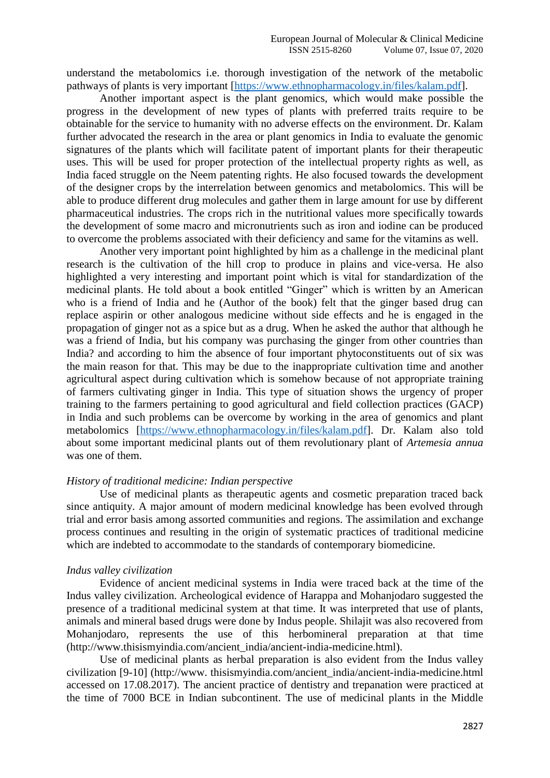understand the metabolomics i.e. thorough investigation of the network of the metabolic pathways of plants is very important [\[https://www.ethnopharmacology.in/files/kalam.pdf\]](https://www.ethnopharmacology.in/files/kalam.pdf).

Another important aspect is the plant genomics, which would make possible the progress in the development of new types of plants with preferred traits require to be obtainable for the service to humanity with no adverse effects on the environment. Dr. Kalam further advocated the research in the area or plant genomics in India to evaluate the genomic signatures of the plants which will facilitate patent of important plants for their therapeutic uses. This will be used for proper protection of the intellectual property rights as well, as India faced struggle on the Neem patenting rights. He also focused towards the development of the designer crops by the interrelation between genomics and metabolomics. This will be able to produce different drug molecules and gather them in large amount for use by different pharmaceutical industries. The crops rich in the nutritional values more specifically towards the development of some macro and micronutrients such as iron and iodine can be produced to overcome the problems associated with their deficiency and same for the vitamins as well.

Another very important point highlighted by him as a challenge in the medicinal plant research is the cultivation of the hill crop to produce in plains and vice-versa. He also highlighted a very interesting and important point which is vital for standardization of the medicinal plants. He told about a book entitled "Ginger" which is written by an American who is a friend of India and he (Author of the book) felt that the ginger based drug can replace aspirin or other analogous medicine without side effects and he is engaged in the propagation of ginger not as a spice but as a drug. When he asked the author that although he was a friend of India, but his company was purchasing the ginger from other countries than India? and according to him the absence of four important phytoconstituents out of six was the main reason for that. This may be due to the inappropriate cultivation time and another agricultural aspect during cultivation which is somehow because of not appropriate training of farmers cultivating ginger in India. This type of situation shows the urgency of proper training to the farmers pertaining to good agricultural and field collection practices (GACP) in India and such problems can be overcome by working in the area of genomics and plant metabolomics [\[https://www.ethnopharmacology.in/files/kalam.pdf\]](https://www.ethnopharmacology.in/files/kalam.pdf). Dr. Kalam also told about some important medicinal plants out of them revolutionary plant of *Artemesia annua* was one of them.

### *History of traditional medicine: Indian perspective*

Use of medicinal plants as therapeutic agents and cosmetic preparation traced back since antiquity. A major amount of modern medicinal knowledge has been evolved through trial and error basis among assorted communities and regions. The assimilation and exchange process continues and resulting in the origin of systematic practices of traditional medicine which are indebted to accommodate to the standards of contemporary biomedicine.

#### *Indus valley civilization*

Evidence of ancient medicinal systems in India were traced back at the time of the Indus valley civilization. Archeological evidence of Harappa and Mohanjodaro suggested the presence of a traditional medicinal system at that time. It was interpreted that use of plants, animals and mineral based drugs were done by Indus people. Shilajit was also recovered from Mohanjodaro, represents the use of this herbomineral preparation at that time (http://www.thisismyindia.com/ancient\_india/ancient-india-medicine.html).

Use of medicinal plants as herbal preparation is also evident from the Indus valley civilization [9-10] (http://www. thisismyindia.com/ancient\_india/ancient-india-medicine.html accessed on 17.08.2017). The ancient practice of dentistry and trepanation were practiced at the time of 7000 BCE in Indian subcontinent. The use of medicinal plants in the Middle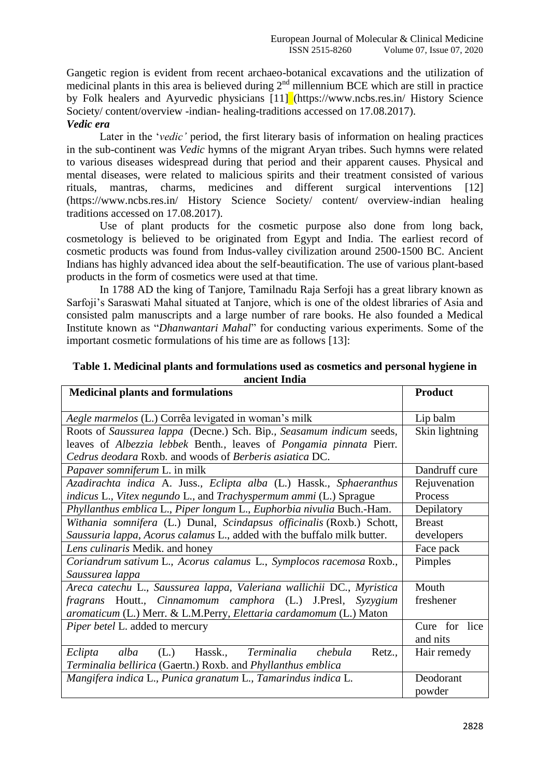Gangetic region is evident from recent archaeo-botanical excavations and the utilization of medicinal plants in this area is believed during  $2<sup>nd</sup>$  millennium BCE which are still in practice by Folk healers and Ayurvedic physicians [11] (https://www.ncbs.res.in/ History Science Society/ content/overview -indian- healing-traditions accessed on 17.08.2017). *Vedic era*

# Later in the *'vedic'* period, the first literary basis of information on healing practices in the sub-continent was *Vedic* hymns of the migrant Aryan tribes. Such hymns were related to various diseases widespread during that period and their apparent causes. Physical and mental diseases, were related to malicious spirits and their treatment consisted of various rituals, mantras, charms, medicines and different surgical interventions [12] (https://www.ncbs.res.in/ History Science Society/ content/ overview-indian healing traditions accessed on 17.08.2017).

Use of plant products for the cosmetic purpose also done from long back, cosmetology is believed to be originated from Egypt and India. The earliest record of cosmetic products was found from Indus-valley civilization around 2500-1500 BC. Ancient Indians has highly advanced idea about the self-beautification. The use of various plant-based products in the form of cosmetics were used at that time.

In 1788 AD the king of Tanjore, Tamilnadu Raja Serfoji has a great library known as Sarfoji's Saraswati Mahal situated at Tanjore, which is one of the oldest libraries of Asia and consisted palm manuscripts and a large number of rare books. He also founded a Medical Institute known as "*Dhanwantari Mahal*" for conducting various experiments. Some of the important cosmetic formulations of his time are as follows [13]:

| <b>Medicinal plants and formulations</b>                                 | <b>Product</b> |
|--------------------------------------------------------------------------|----------------|
| Aegle marmelos (L.) Corrêa levigated in woman's milk                     | Lip balm       |
| Roots of Saussurea lappa (Decne.) Sch. Bip., Seasamum indicum seeds,     | Skin lightning |
| leaves of Albezzia lebbek Benth., leaves of Pongamia pinnata Pierr.      |                |
| Cedrus deodara Roxb. and woods of Berberis asiatica DC.                  |                |
| Papaver somniferum L. in milk                                            | Dandruff cure  |
| Azadirachta indica A. Juss., Eclipta alba (L.) Hassk., Sphaeranthus      | Rejuvenation   |
| <i>indicus L., Vitex negundo L., and Trachyspermum ammi</i> (L.) Sprague | Process        |
| Phyllanthus emblica L., Piper longum L., Euphorbia nivulia Buch.-Ham.    | Depilatory     |
| Withania somnifera (L.) Dunal, Scindapsus officinalis (Roxb.) Schott,    | <b>Breast</b>  |
| Saussuria lappa, Acorus calamus L., added with the buffalo milk butter.  | developers     |
| Lens culinaris Medik. and honey                                          | Face pack      |
| Coriandrum sativum L., Acorus calamus L., Symplocos racemosa Roxb.,      | Pimples        |
| Saussurea lappa                                                          |                |
| Areca catechu L., Saussurea lappa, Valeriana wallichii DC., Myristica    | Mouth          |
| fragrans Houtt., Cinnamomum camphora (L.) J.Presl, Syzygium              | freshener      |
| aromaticum (L.) Merr. & L.M.Perry, Elettaria cardamomum (L.) Maton       |                |
| Piper betel L. added to mercury                                          | Cure for lice  |
|                                                                          | and nits       |
| Terminalia<br>(L.)<br>Hassk.,<br>Eclipta<br>alba<br>chebula<br>Retz.,    | Hair remedy    |
| Terminalia bellirica (Gaertn.) Roxb. and Phyllanthus emblica             |                |
| Mangifera indica L., Punica granatum L., Tamarindus indica L.            | Deodorant      |
|                                                                          | powder         |

**Table 1. Medicinal plants and formulations used as cosmetics and personal hygiene in ancient India**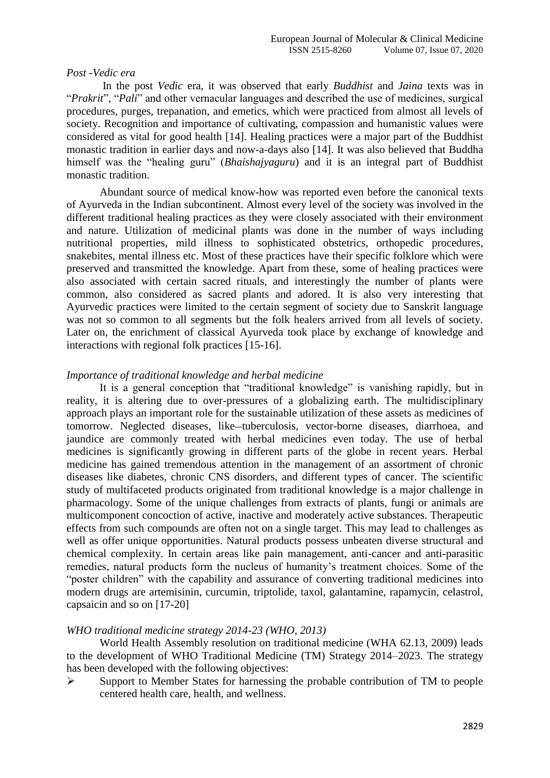#### *Post -Vedic era*

In the post *Vedic* era, it was observed that early *Buddhist* and *Jaina* texts was in "*Prakrit*", "*Pali*" and other vernacular languages and described the use of medicines, surgical procedures, purges, trepanation, and emetics, which were practiced from almost all levels of society. Recognition and importance of cultivating, compassion and humanistic values were considered as vital for good health [14]. Healing practices were a major part of the Buddhist monastic tradition in earlier days and now-a-days also [14]. It was also believed that Buddha himself was the "healing guru" (*Bhaishajyaguru*) and it is an integral part of Buddhist monastic tradition.

Abundant source of medical know-how was reported even before the canonical texts of Ayurveda in the Indian subcontinent. Almost every level of the society was involved in the different traditional healing practices as they were closely associated with their environment and nature. Utilization of medicinal plants was done in the number of ways including nutritional properties, mild illness to sophisticated obstetrics, orthopedic procedures, snakebites, mental illness etc. Most of these practices have their specific folklore which were preserved and transmitted the knowledge. Apart from these, some of healing practices were also associated with certain sacred rituals, and interestingly the number of plants were common, also considered as sacred plants and adored. It is also very interesting that Ayurvedic practices were limited to the certain segment of society due to Sanskrit language was not so common to all segments but the folk healers arrived from all levels of society. Later on, the enrichment of classical Ayurveda took place by exchange of knowledge and interactions with regional folk practices [15-16].

#### *Importance of traditional knowledge and herbal medicine*

It is a general conception that "traditional knowledge" is vanishing rapidly, but in reality, it is altering due to over-pressures of a globalizing earth. The multidisciplinary approach plays an important role for the sustainable utilization of these assets as medicines of tomorrow. Neglected diseases, like-tuberculosis, vector-borne diseases, diarrhoea, and jaundice are commonly treated with herbal medicines even today. The use of herbal medicines is significantly growing in different parts of the globe in recent years. Herbal medicine has gained tremendous attention in the management of an assortment of chronic diseases like diabetes, chronic CNS disorders, and different types of cancer. The scientific study of multifaceted products originated from traditional knowledge is a major challenge in pharmacology. Some of the unique challenges from extracts of plants, fungi or animals are multicomponent concoction of active, inactive and moderately active substances. Therapeutic effects from such compounds are often not on a single target. This may lead to challenges as well as offer unique opportunities. Natural products possess unbeaten diverse structural and chemical complexity. In certain areas like pain management, anti-cancer and anti-parasitic remedies, natural products form the nucleus of humanity's treatment choices. Some of the "poster children" with the capability and assurance of converting traditional medicines into modern drugs are artemisinin, curcumin, triptolide, taxol, galantamine, rapamycin, celastrol, capsaicin and so on [17-20]

#### *WHO traditional medicine strategy 2014-23 (WHO, 2013)*

World Health Assembly resolution on traditional medicine (WHA 62.13, 2009) leads to the development of WHO Traditional Medicine (TM) Strategy 2014–2023. The strategy has been developed with the following objectives:

 $\triangleright$  Support to Member States for harnessing the probable contribution of TM to people centered health care, health, and wellness.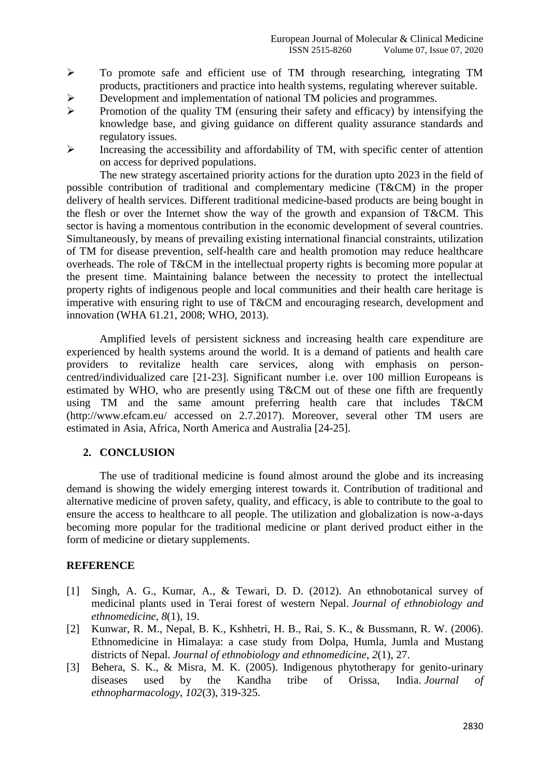- To promote safe and efficient use of TM through researching, integrating TM products, practitioners and practice into health systems, regulating wherever suitable.
- Development and implementation of national TM policies and programmes.
- $\triangleright$  Promotion of the quality TM (ensuring their safety and efficacy) by intensifying the knowledge base, and giving guidance on different quality assurance standards and regulatory issues.
- $\triangleright$  Increasing the accessibility and affordability of TM, with specific center of attention on access for deprived populations.

The new strategy ascertained priority actions for the duration upto 2023 in the field of possible contribution of traditional and complementary medicine (T&CM) in the proper delivery of health services. Different traditional medicine-based products are being bought in the flesh or over the Internet show the way of the growth and expansion of T&CM. This sector is having a momentous contribution in the economic development of several countries. Simultaneously, by means of prevailing existing international financial constraints, utilization of TM for disease prevention, self-health care and health promotion may reduce healthcare overheads. The role of T&CM in the intellectual property rights is becoming more popular at the present time. Maintaining balance between the necessity to protect the intellectual property rights of indigenous people and local communities and their health care heritage is imperative with ensuring right to use of T&CM and encouraging research, development and innovation (WHA 61.21, 2008; WHO, 2013).

Amplified levels of persistent sickness and increasing health care expenditure are experienced by health systems around the world. It is a demand of patients and health care providers to revitalize health care services, along with emphasis on personcentred/individualized care [21-23]. Significant number i.e. over 100 million Europeans is estimated by WHO, who are presently using T&CM out of these one fifth are frequently using TM and the same amount preferring health care that includes T&CM (http://www.efcam.eu/ accessed on 2.7.2017). Moreover, several other TM users are estimated in Asia, Africa, North America and Australia [24-25].

# **2. CONCLUSION**

The use of traditional medicine is found almost around the globe and its increasing demand is showing the widely emerging interest towards it. Contribution of traditional and alternative medicine of proven safety, quality, and efficacy, is able to contribute to the goal to ensure the access to healthcare to all people. The utilization and globalization is now-a-days becoming more popular for the traditional medicine or plant derived product either in the form of medicine or dietary supplements.

## **REFERENCE**

- [1] Singh, A. G., Kumar, A., & Tewari, D. D. (2012). An ethnobotanical survey of medicinal plants used in Terai forest of western Nepal. *Journal of ethnobiology and ethnomedicine*, *8*(1), 19.
- [2] Kunwar, R. M., Nepal, B. K., Kshhetri, H. B., Rai, S. K., & Bussmann, R. W. (2006). Ethnomedicine in Himalaya: a case study from Dolpa, Humla, Jumla and Mustang districts of Nepal. *Journal of ethnobiology and ethnomedicine*, *2*(1), 27.
- [3] Behera, S. K., & Misra, M. K. (2005). Indigenous phytotherapy for genito-urinary diseases used by the Kandha tribe of Orissa, India. *Journal of ethnopharmacology*, *102*(3), 319-325.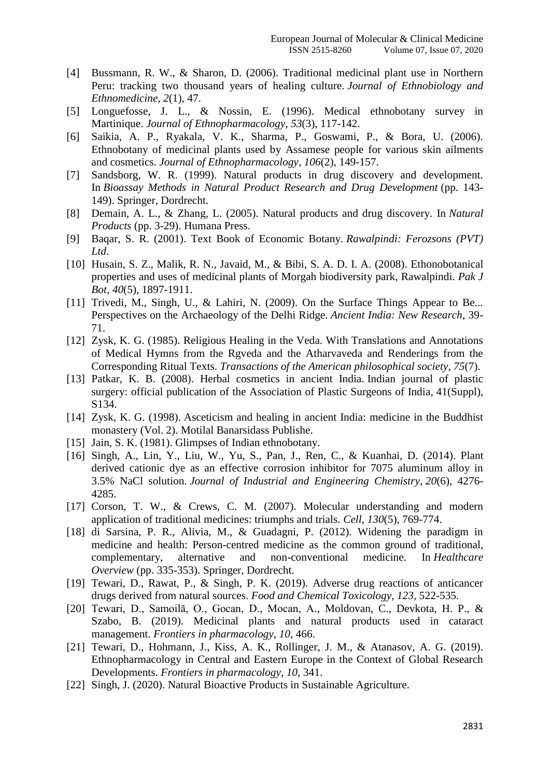- [4] Bussmann, R. W., & Sharon, D. (2006). Traditional medicinal plant use in Northern Peru: tracking two thousand years of healing culture. *Journal of Ethnobiology and Ethnomedicine*, *2*(1), 47.
- [5] Longuefosse, J. L., & Nossin, E. (1996). Medical ethnobotany survey in Martinique. *Journal of Ethnopharmacology*, *53*(3), 117-142.
- [6] Saikia, A. P., Ryakala, V. K., Sharma, P., Goswami, P., & Bora, U. (2006). Ethnobotany of medicinal plants used by Assamese people for various skin ailments and cosmetics. *Journal of Ethnopharmacology*, *106*(2), 149-157.
- [7] Sandsborg, W. R. (1999). Natural products in drug discovery and development. In *Bioassay Methods in Natural Product Research and Drug Development* (pp. 143- 149). Springer, Dordrecht.
- [8] Demain, A. L., & Zhang, L. (2005). Natural products and drug discovery. In *Natural Products* (pp. 3-29). Humana Press.
- [9] Baqar, S. R. (2001). Text Book of Economic Botany. *Rawalpindi: Ferozsons (PVT) Ltd*.
- [10] Husain, S. Z., Malik, R. N., Javaid, M., & Bibi, S. A. D. I. A. (2008). Ethonobotanical properties and uses of medicinal plants of Morgah biodiversity park, Rawalpindi. *Pak J Bot*, *40*(5), 1897-1911.
- [11] Trivedi, M., Singh, U., & Lahiri, N. (2009). On the Surface Things Appear to Be... Perspectives on the Archaeology of the Delhi Ridge. *Ancient India: New Research*, 39- 71.
- [12] Zysk, K. G. (1985). Religious Healing in the Veda. With Translations and Annotations of Medical Hymns from the Rgveda and the Atharvaveda and Renderings from the Corresponding Ritual Texts. *Transactions of the American philosophical society*, *75*(7).
- [13] Patkar, K. B. (2008). Herbal cosmetics in ancient India. Indian journal of plastic surgery: official publication of the Association of Plastic Surgeons of India, 41(Suppl), S134.
- [14] Zysk, K. G. (1998). Asceticism and healing in ancient India: medicine in the Buddhist monastery (Vol. 2). Motilal Banarsidass Publishe.
- [15] Jain, S. K. (1981). Glimpses of Indian ethnobotany.
- [16] Singh, A., Lin, Y., Liu, W., Yu, S., Pan, J., Ren, C., & Kuanhai, D. (2014). Plant derived cationic dye as an effective corrosion inhibitor for 7075 aluminum alloy in 3.5% NaCl solution. *Journal of Industrial and Engineering Chemistry*, *20*(6), 4276- 4285.
- [17] Corson, T. W., & Crews, C. M. (2007). Molecular understanding and modern application of traditional medicines: triumphs and trials. *Cell*, *130*(5), 769-774.
- [18] di Sarsina, P. R., Alivia, M., & Guadagni, P. (2012). Widening the paradigm in medicine and health: Person-centred medicine as the common ground of traditional, complementary, alternative and non-conventional medicine. In *Healthcare Overview* (pp. 335-353). Springer, Dordrecht.
- [19] Tewari, D., Rawat, P., & Singh, P. K. (2019). Adverse drug reactions of anticancer drugs derived from natural sources. *Food and Chemical Toxicology*, *123*, 522-535.
- [20] Tewari, D., Samoilă, O., Gocan, D., Mocan, A., Moldovan, C., Devkota, H. P., & Szabo, B. (2019). Medicinal plants and natural products used in cataract management. *Frontiers in pharmacology*, *10*, 466.
- [21] Tewari, D., Hohmann, J., Kiss, A. K., Rollinger, J. M., & Atanasov, A. G. (2019). Ethnopharmacology in Central and Eastern Europe in the Context of Global Research Developments. *Frontiers in pharmacology*, *10*, 341.
- [22] Singh, J. (2020). Natural Bioactive Products in Sustainable Agriculture.